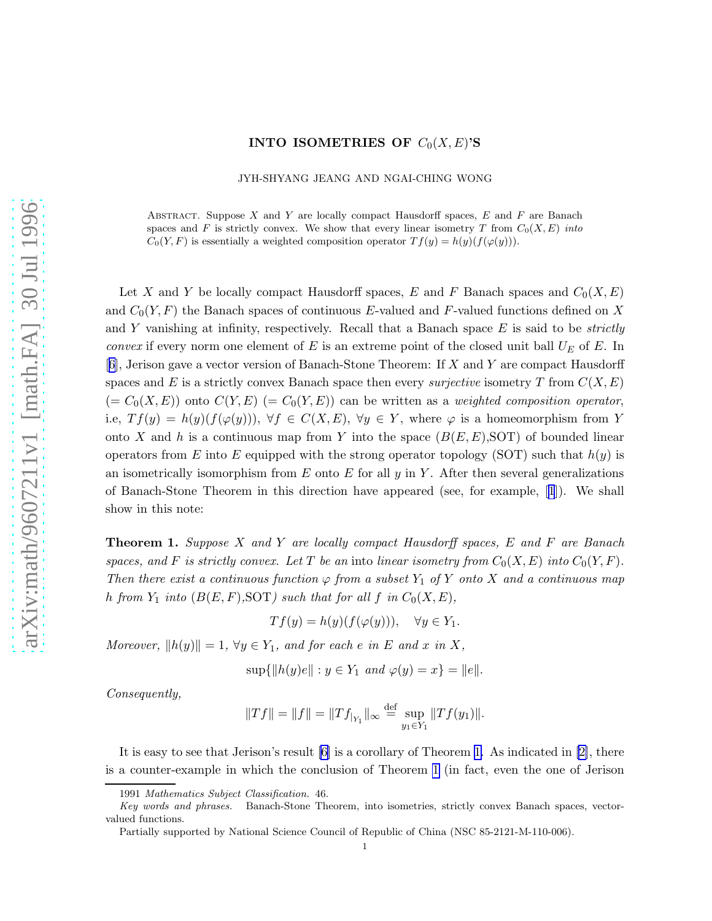## **INTO ISOMETRIES OF**  $C_0(X, E)$ 'S

JYH-SHYANG JEANG AND NGAI-CHING WONG

<span id="page-0-0"></span>ABSTRACT. Suppose X and Y are locally compact Hausdorff spaces,  $E$  and  $F$  are Banach spaces and F is strictly convex. We show that every linear isometry T from  $C_0(X, E)$  into  $C_0(Y, F)$  is essentially a weighted composition operator  $T f(y) = h(y)(f(\varphi(y))).$ 

Let X and Y be locally compact Hausdorff spaces, E and F Banach spaces and  $C_0(X, E)$ and  $C_0(Y, F)$  the Banach spaces of continuous E-valued and F-valued functions defined on X and Y vanishing at infinity, respectively. Recall that a Banach space  $E$  is said to be *strictly convex* if every norm one element of E is an extreme point of the closed unit ball  $U_E$  of E. In [[6](#page-3-0)], Jerison gave a vector version of Banach-Stone Theorem: If X and Y are compact Hausdorff spaces and E is a strictly convex Banach space then every *surjective* isometry T from  $C(X, E)$  $(= C_0(X, E))$  onto  $C(Y, E)$   $(= C_0(Y, E))$  can be written as a weighted composition operator, i.e,  $Tf(y) = h(y)(f(\varphi(y))), \forall f \in C(X,E), \forall y \in Y$ , where  $\varphi$  is a homeomorphism from Y onto X and h is a continuous map from Y into the space  $(B(E, E), SOT)$  of bounded linear operators from E into E equipped with the strong operator topology (SOT) such that  $h(y)$  is an isometrically isomorphism from  $E$  onto  $E$  for all  $y$  in  $Y$ . After then several generalizations of Banach-Stone Theorem in this direction have appeared (see, for example,[[1](#page-3-0)]). We shall show in this note:

**Theorem 1.** Suppose X and Y are locally compact Hausdorff spaces, E and F are Banach spaces, and F is strictly convex. Let T be an into linear isometry from  $C_0(X, E)$  into  $C_0(Y, F)$ . Then there exist a continuous function  $\varphi$  from a subset  $Y_1$  of Y onto X and a continuous map h from  $Y_1$  into  $(B(E, F), SOT)$  such that for all f in  $C_0(X, E)$ ,

$$
Tf(y) = h(y)(f(\varphi(y))), \quad \forall y \in Y_1.
$$

Moreover,  $||h(y)|| = 1$ ,  $\forall y \in Y_1$ , and for each e in E and x in X,

$$
\sup\{\|h(y)e\| : y \in Y_1 \text{ and } \varphi(y) = x\} = \|e\|.
$$

Consequently,

$$
||Tf|| = ||f|| = ||Tf_{|_{Y_1}}||_{\infty} \stackrel{\text{def}}{=} \sup_{y_1 \in Y_1} ||Tf(y_1)||.
$$

It is easy to see that Jerison's result [\[6\]](#page-3-0) is a corollary of Theorem 1. As indicated in [\[2\]](#page-3-0), there is a counter-example in which the conclusion of Theorem 1 (in fact, even the one of Jerison

<sup>1991</sup> Mathematics Subject Classification. 46.

Key words and phrases. Banach-Stone Theorem, into isometries, strictly convex Banach spaces, vectorvalued functions.

Partially supported by National Science Council of Republic of China (NSC 85-2121-M-110-006).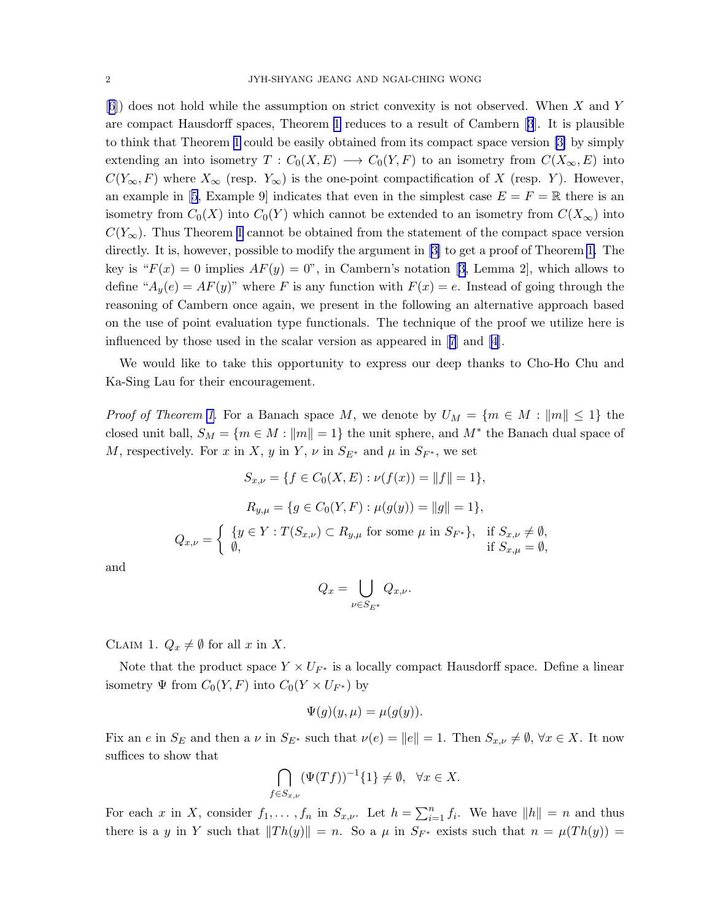[[6](#page-3-0)]) does not hold while the assumption on strict convexity is not observed. When X and Y are compact Hausdorff spaces, Theorem [1](#page-0-0) reduces to a result of Cambern[[3](#page-3-0)]. It is plausible to think that Theorem [1](#page-0-0) could be easily obtained from its compact space version [\[3\]](#page-3-0) by simply extending an into isometry  $T: C_0(X, E) \longrightarrow C_0(Y, F)$  to an isometry from  $C(X_{\infty}, E)$  into  $C(Y_{\infty}, F)$  where  $X_{\infty}$  (resp.  $Y_{\infty}$ ) is the one-point compactification of X (resp. Y). However, anexample in [[5](#page-3-0), Example 9] indicates that even in the simplest case  $E = F = \mathbb{R}$  there is an isometry from  $C_0(X)$  into  $C_0(Y)$  which cannot be extended to an isometry from  $C(X_{\infty})$  into  $C(Y_\infty)$ . Thus Theorem [1](#page-0-0) cannot be obtained from the statement of the compact space version directly. It is, however, possible to modify the argument in [\[3\]](#page-3-0) to get a proof of Theorem [1.](#page-0-0) The keyis " $F(x) = 0$  implies  $AF(y) = 0$ ", in Cambern's notation [[3](#page-3-0), Lemma 2], which allows to define " $A_y(e) = AF(y)$ " where F is any function with  $F(x) = e$ . Instead of going through the reasoning of Cambern once again, we present in the following an alternative approach based on the use of point evaluation type functionals. The technique of the proof we utilize here is influenced by those used in the scalar version as appeared in[[7\]](#page-3-0) and[[4](#page-3-0)].

We would like to take this opportunity to express our deep thanks to Cho-Ho Chu and Ka-Sing Lau for their encouragement.

*Proof of Theorem [1.](#page-0-0)* For a Banach space M, we denote by  $U_M = \{m \in M : ||m|| \leq 1\}$  the closed unit ball,  $S_M = \{m \in M : ||m|| = 1\}$  the unit sphere, and  $M^*$  the Banach dual space of M, respectively. For x in X, y in Y,  $\nu$  in  $S_{E^*}$  and  $\mu$  in  $S_{F^*}$ , we set

$$
S_{x,\nu} = \{ f \in C_0(X, E) : \nu(f(x)) = ||f|| = 1 \},
$$
  
\n
$$
R_{y,\mu} = \{ g \in C_0(Y, F) : \mu(g(y)) = ||g|| = 1 \},
$$
  
\n
$$
Q_{x,\nu} = \begin{cases} \{ y \in Y : T(S_{x,\nu}) \subset R_{y,\mu} \text{ for some } \mu \text{ in } S_{F^*} \}, & \text{if } S_{x,\nu} \neq \emptyset, \\ \emptyset, & \text{if } S_{x,\mu} = \emptyset, \end{cases}
$$

and

$$
Q_x = \bigcup_{\nu \in S_{E^*}} Q_{x,\nu}.
$$

CLAIM 1.  $Q_x \neq \emptyset$  for all x in X.

Note that the product space  $Y \times U_{F^*}$  is a locally compact Hausdorff space. Define a linear isometry  $\Psi$  from  $C_0(Y, F)$  into  $C_0(Y \times U_{F^*})$  by

$$
\Psi(g)(y,\mu) = \mu(g(y)).
$$

Fix an e in  $S_E$  and then a v in  $S_{E^*}$  such that  $\nu(e) = ||e|| = 1$ . Then  $S_{x,\nu} \neq \emptyset$ ,  $\forall x \in X$ . It now suffices to show that

$$
\bigcap_{f\in S_{x,\nu}} (\Psi(Tf))^{-1}\{1\} \neq \emptyset, \quad \forall x \in X.
$$

For each x in X, consider  $f_1, \ldots, f_n$  in  $S_{x,\nu}$ . Let  $h = \sum_{i=1}^n f_i$ . We have  $||h|| = n$  and thus there is a y in Y such that  $||Th(y)|| = n$ . So a  $\mu$  in  $S_{F^*}$  exists such that  $n = \mu(Th(y)) =$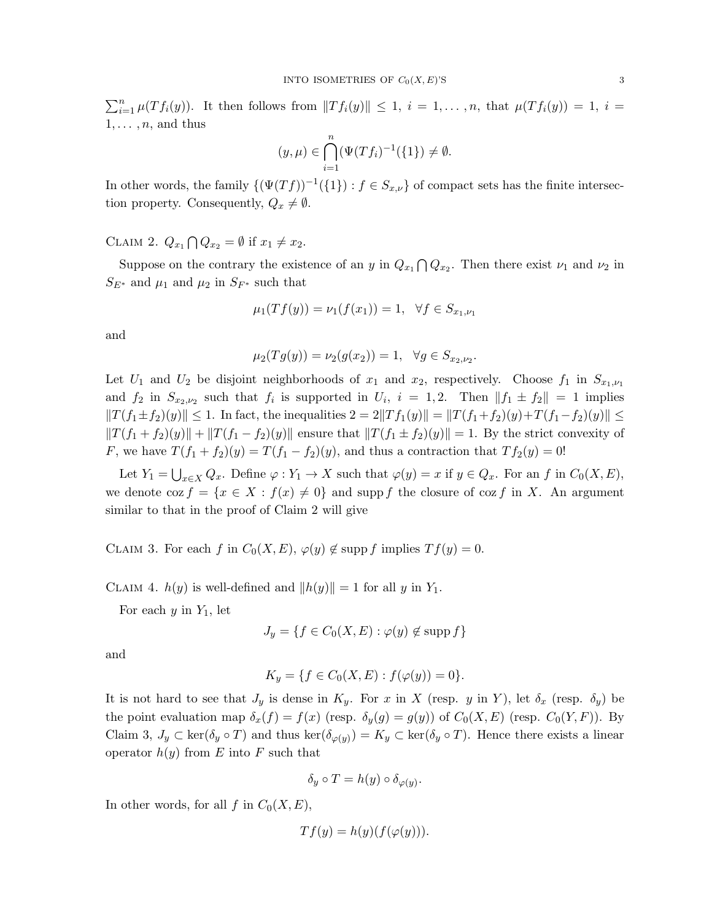$\sum_{i=1}^n \mu(Tf_i(y))$ . It then follows from  $||Tf_i(y)|| \leq 1$ ,  $i = 1, \ldots, n$ , that  $\mu(Tf_i(y)) = 1$ ,  $i =$  $1, \ldots, n$ , and thus

$$
(y,\mu) \in \bigcap_{i=1}^{n} (\Psi(Tf_i)^{-1}(\{1\}) \neq \emptyset.
$$

In other words, the family  $\{(\Psi(Tf))^{-1}(\{1\}) : f \in S_{x,\nu}\}\$  of compact sets has the finite intersection property. Consequently,  $Q_x \neq \emptyset$ .

CLAIM 2.  $Q_{x_1} \bigcap Q_{x_2} = \emptyset$  if  $x_1 \neq x_2$ .

Suppose on the contrary the existence of an y in  $Q_{x_1} \bigcap Q_{x_2}$ . Then there exist  $\nu_1$  and  $\nu_2$  in  $S_{E^*}$  and  $\mu_1$  and  $\mu_2$  in  $S_{F^*}$  such that

$$
\mu_1(Tf(y)) = \nu_1(f(x_1)) = 1, \ \ \forall f \in S_{x_1, \nu_1}
$$

and

$$
\mu_2(Tg(y)) = \nu_2(g(x_2)) = 1, \quad \forall g \in S_{x_2, \nu_2}.
$$

Let  $U_1$  and  $U_2$  be disjoint neighborhoods of  $x_1$  and  $x_2$ , respectively. Choose  $f_1$  in  $S_{x_1,\nu_1}$ and  $f_2$  in  $S_{x_2,\nu_2}$  such that  $f_i$  is supported in  $U_i$ ,  $i = 1,2$ . Then  $||f_1 \pm f_2|| = 1$  implies  $||T(f_1 \pm f_2)(y)|| \leq 1$ . In fact, the inequalities  $2 = 2||Tf_1(y)|| = ||T(f_1 + f_2)(y) + T(f_1 - f_2)(y)|| \leq$  $||T(f_1 + f_2)(y)|| + ||T(f_1 - f_2)(y)||$  ensure that  $||T(f_1 \pm f_2)(y)|| = 1$ . By the strict convexity of F, we have  $T(f_1 + f_2)(y) = T(f_1 - f_2)(y)$ , and thus a contraction that  $Tf_2(y) = 0!$ 

Let  $Y_1 = \bigcup_{x \in X} Q_x$ . Define  $\varphi : Y_1 \to X$  such that  $\varphi(y) = x$  if  $y \in Q_x$ . For an f in  $C_0(X, E)$ , we denote  $\cos f = \{x \in X : f(x) \neq 0\}$  and supp f the closure of  $\cos f$  in X. An argument similar to that in the proof of Claim 2 will give

CLAIM 3. For each f in  $C_0(X, E)$ ,  $\varphi(y) \notin \text{supp } f$  implies  $Tf(y) = 0$ .

CLAIM 4.  $h(y)$  is well-defined and  $||h(y)|| = 1$  for all y in Y<sub>1</sub>.

For each  $y$  in  $Y_1$ , let

$$
J_y = \{ f \in C_0(X, E) : \varphi(y) \notin \text{supp } f \}
$$

and

$$
K_y = \{ f \in C_0(X, E) : f(\varphi(y)) = 0 \}.
$$

It is not hard to see that  $J_y$  is dense in  $K_y$ . For x in X (resp. y in Y), let  $\delta_x$  (resp.  $\delta_y$ ) be the point evaluation map  $\delta_x(f) = f(x)$  (resp.  $\delta_y(g) = g(y)$ ) of  $C_0(X, E)$  (resp.  $C_0(Y, F)$ ). By Claim 3,  $J_y \subset \ker(\delta_y \circ T)$  and thus  $\ker(\delta_{\varphi(y)}) = K_y \subset \ker(\delta_y \circ T)$ . Hence there exists a linear operator  $h(y)$  from E into F such that

$$
\delta_y \circ T = h(y) \circ \delta_{\varphi(y)}.
$$

In other words, for all f in  $C_0(X, E)$ ,

$$
Tf(y) = h(y)(f(\varphi(y))).
$$